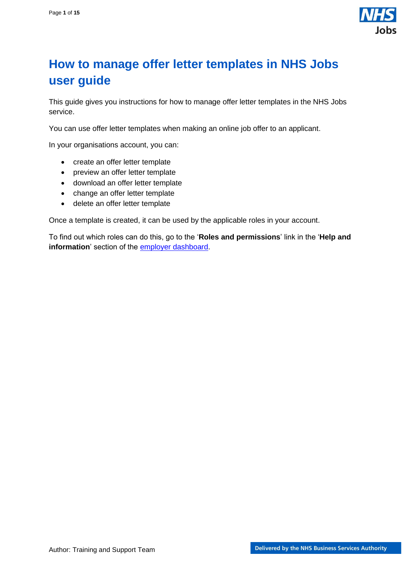

## <span id="page-0-0"></span>**How to manage offer letter templates in NHS Jobs user guide**

This guide gives you instructions for how to manage offer letter templates in the NHS Jobs service.

You can use offer letter templates when making an online job offer to an applicant.

In your organisations account, you can:

- create an offer letter template
- preview an offer letter template
- download an offer letter template
- change an offer letter template
- delete an offer letter template

Once a template is created, it can be used by the applicable roles in your account.

To find out which roles can do this, go to the '**Roles and permissions**' link in the '**Help and information**' section of the **employer dashboard**.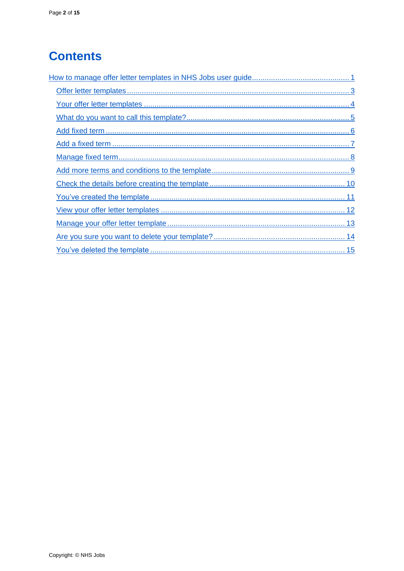# **Contents**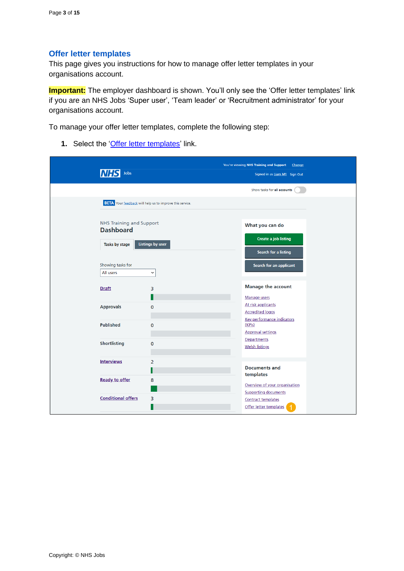#### <span id="page-2-0"></span>**Offer letter templates**

This page gives you instructions for how to manage offer letter templates in your organisations account.

**Important:** The employer dashboard is shown. You'll only see the 'Offer letter templates' link if you are an NHS Jobs 'Super user', 'Team leader' or 'Recruitment administrator' for your organisations account.

To manage your offer letter templates, complete the following step:

1. Select the ['Offer letter](#page-3-0) templates' link.

| Jobs                            |                                                                 | You're viewing NHS Training and Support<br>Change        |
|---------------------------------|-----------------------------------------------------------------|----------------------------------------------------------|
|                                 |                                                                 | Signed in as Liam M1 Sign Out                            |
|                                 |                                                                 | Show tasks for all accounts                              |
|                                 | <b>BETA</b> Your feedback will help us to improve this service. |                                                          |
| <b>NHS Training and Support</b> |                                                                 | What you can do                                          |
| <b>Dashboard</b>                |                                                                 |                                                          |
| Tasks by stage                  | <b>Listings by user</b>                                         | <b>Create a job listing</b>                              |
|                                 |                                                                 | Search for a listing                                     |
| Showing tasks for               |                                                                 | Search for an applicant                                  |
| All users                       | $\check{ }$                                                     |                                                          |
| <b>Draft</b>                    | 3                                                               | <b>Manage the account</b>                                |
|                                 |                                                                 | Manage users                                             |
| <b>Approvals</b>                | 0                                                               | At risk applicants                                       |
|                                 |                                                                 | <b>Accredited logos</b>                                  |
| <b>Published</b>                | 0                                                               | Key performance indicators<br>(KPIs)                     |
|                                 |                                                                 | <b>Approval settings</b>                                 |
| <b>Shortlisting</b>             | $\mathbf{O}$                                                    | Departments                                              |
|                                 |                                                                 | <b>Welsh listings</b>                                    |
| <b>Interviews</b>               | $\overline{2}$                                                  |                                                          |
|                                 |                                                                 | <b>Documents and</b><br>templates                        |
| <b>Ready to offer</b>           | 8                                                               |                                                          |
|                                 |                                                                 | Overview of your organisation                            |
| <b>Conditional offers</b>       | 3                                                               | <b>Supporting documents</b><br><b>Contract templates</b> |
|                                 |                                                                 | Offer letter templates                                   |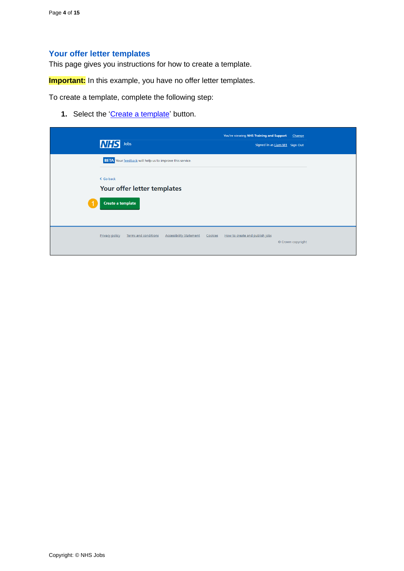## <span id="page-3-0"></span>**Your offer letter templates**

This page gives you instructions for how to create a template.

**Important:** In this example, you have no offer letter templates.

To create a template, complete the following step:

1. Select the ['Create a template'](#page-4-0) button.

| <b>NHS</b> Jobs                                                                 | You're viewing NHS Training and Support<br>Change<br>Signed in as Liam M1 Sign Out |
|---------------------------------------------------------------------------------|------------------------------------------------------------------------------------|
| <b>BETA</b> Your feedback will help us to improve this service.                 |                                                                                    |
| < Go back<br>Your offer letter templates<br>Create a template                   |                                                                                    |
| Privacy policy<br><b>Terms and conditions</b><br><b>Accessibility Statement</b> | Cookies<br>How to create and publish jobs<br>© Crown copyright                     |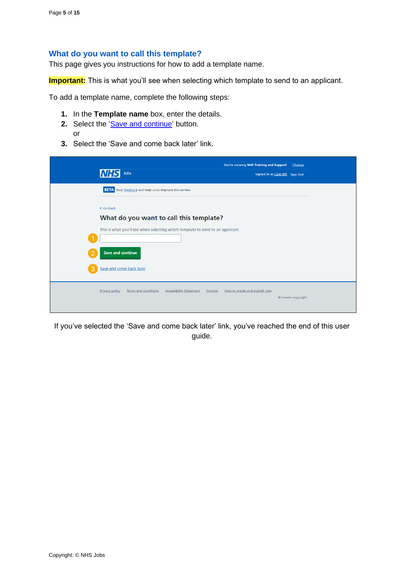#### <span id="page-4-0"></span>**What do you want to call this template?**

This page gives you instructions for how to add a template name.

**Important:** This is what you'll see when selecting which template to send to an applicant.

To add a template name, complete the following steps:

- **1.** In the **Template name** box, enter the details.
- 2. Select the ['Save and continue'](#page-5-0) button. or
- **3.** Select the 'Save and come back later' link.

|   | Jobs                                                                                                                      | You're viewing NHS Training and Support<br>Signed in as Liam M1 Sign Out | Change            |
|---|---------------------------------------------------------------------------------------------------------------------------|--------------------------------------------------------------------------|-------------------|
|   | <b>BETA</b> Your feedback will help us to improve this service.                                                           |                                                                          |                   |
|   | < Go back                                                                                                                 |                                                                          |                   |
|   | What do you want to call this template?<br>This is what you'll see when selecting which template to send to an applicant. |                                                                          |                   |
| ာ | <b>Save and continue</b>                                                                                                  |                                                                          |                   |
| 3 | Save and come back later                                                                                                  |                                                                          |                   |
|   |                                                                                                                           |                                                                          |                   |
|   | <b>Terms and conditions</b><br><b>Privacy policy</b><br><b>Accessibility Statement</b><br>Cookies                         | How to create and publish jobs                                           | © Crown copyright |

If you've selected the 'Save and come back later' link, you've reached the end of this user guide.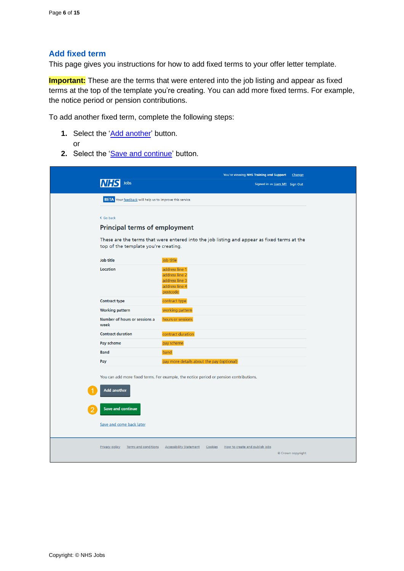#### <span id="page-5-0"></span>**Add fixed term**

This page gives you instructions for how to add fixed terms to your offer letter template.

**Important:** These are the terms that were entered into the job listing and appear as fixed terms at the top of the template you're creating. You can add more fixed terms. For example, the notice period or pension contributions.

To add another fixed term, complete the following steps:

- **1.** Select the ['Add another'](#page-6-0) button. or
- 2. Select the ['Save and continue'](#page-8-0) button.

|                                                                 | You're viewing NHS Training and Support<br>Change                                                |
|-----------------------------------------------------------------|--------------------------------------------------------------------------------------------------|
| Jobs                                                            | Signed in as Liam M1 Sign Out                                                                    |
| <b>BETA</b> Your feedback will help us to improve this service. |                                                                                                  |
| < Go back                                                       |                                                                                                  |
| <b>Principal terms of employment</b>                            |                                                                                                  |
| top of the template you're creating.                            | These are the terms that were entered into the job listing and appear as fixed terms at the      |
| Job title                                                       | job title                                                                                        |
| Location                                                        | address line 1<br>address line 2<br>address line 3<br>address line 4<br>postcode                 |
| <b>Contract type</b>                                            | contract type                                                                                    |
| <b>Working pattern</b>                                          | working pattern                                                                                  |
| Number of hours or sessions a<br>week                           | hours or sessions                                                                                |
| <b>Contract duration</b>                                        | contract duration                                                                                |
| Pay scheme                                                      | pay scheme                                                                                       |
| <b>Band</b>                                                     | band                                                                                             |
| Pay                                                             | pay more details about the pay (optional)                                                        |
|                                                                 | You can add more fixed terms. For example, the notice period or pension contributions.           |
| <b>Add another</b>                                              |                                                                                                  |
| <b>Save and continue</b>                                        |                                                                                                  |
| Save and come back later                                        |                                                                                                  |
| Terms and conditions<br><b>Privacy policy</b>                   | <b>Accessibility Statement</b><br>How to create and publish jobs<br>Cookies<br>© Crown copyright |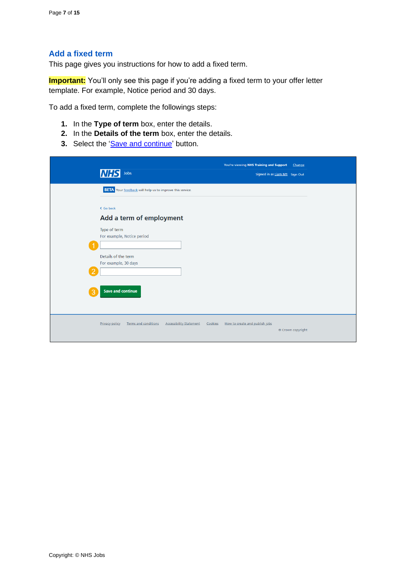## <span id="page-6-0"></span>**Add a fixed term**

This page gives you instructions for how to add a fixed term.

**Important:** You'll only see this page if you're adding a fixed term to your offer letter template. For example, Notice period and 30 days.

To add a fixed term, complete the followings steps:

- **1.** In the **Type of term** box, enter the details.
- **2.** In the **Details of the term** box, enter the details.
- **3.** Select the ['Save and continue'](#page-7-0) button.

| <b>NH</b><br>Jobs                                               | You're viewing NHS Training and Support<br>Change<br>Signed in as Liam M1 Sign Out               |
|-----------------------------------------------------------------|--------------------------------------------------------------------------------------------------|
| <b>BETA</b> Your feedback will help us to improve this service. |                                                                                                  |
| < Go back<br>Add a term of employment                           |                                                                                                  |
| Type of term<br>For example, Notice period                      |                                                                                                  |
| Details of the term<br>For example, 30 days                     |                                                                                                  |
| <b>Save and continue</b><br>3                                   |                                                                                                  |
| <b>Terms and conditions</b><br><b>Privacy policy</b>            | <b>Accessibility Statement</b><br>Cookies<br>How to create and publish jobs<br>© Crown copyright |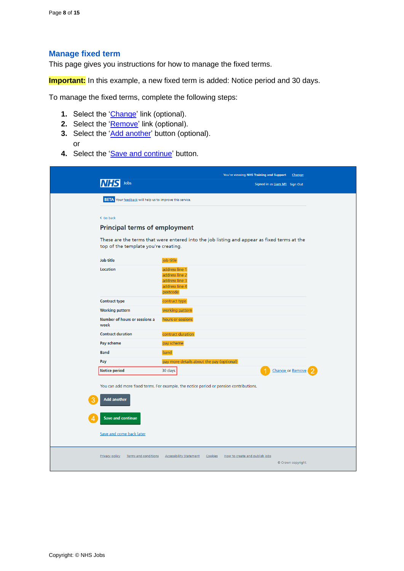#### <span id="page-7-0"></span>**Manage fixed term**

This page gives you instructions for how to manage the fixed terms.

**Important:** In this example, a new fixed term is added: Notice period and 30 days.

To manage the fixed terms, complete the following steps:

- **1.** Select the ['Change'](#page-6-0) link (optional).
- **2.** Select the ['Remove'](#page-5-0) link (optional).
- **3.** Select the ['Add another'](#page-6-0) button (optional). or
- 4. Select the ['Save and continue'](#page-8-0) button.

| Jobs                                                            | You're viewing NHS Training and Support<br>Signed in as Liam M1 Sign Out                    | Change                  |
|-----------------------------------------------------------------|---------------------------------------------------------------------------------------------|-------------------------|
| <b>BETA</b> Your feedback will help us to improve this service. |                                                                                             |                         |
|                                                                 |                                                                                             |                         |
| < Go back                                                       |                                                                                             |                         |
| <b>Principal terms of employment</b>                            |                                                                                             |                         |
| top of the template you're creating.                            | These are the terms that were entered into the job listing and appear as fixed terms at the |                         |
| Job title                                                       | job title                                                                                   |                         |
| Location                                                        | address line 1<br>address line 2<br>address line 3<br>address line 4<br>postcode            |                         |
| <b>Contract type</b>                                            | contract type                                                                               |                         |
| <b>Working pattern</b>                                          | working pattern                                                                             |                         |
| Number of hours or sessions a<br>week                           | hours or sessions                                                                           |                         |
| <b>Contract duration</b>                                        | contract duration                                                                           |                         |
| Pay scheme                                                      | pay scheme                                                                                  |                         |
| <b>Band</b>                                                     | band                                                                                        |                         |
| Pay                                                             | pay more details about the pay (optional)                                                   |                         |
| <b>Notice period</b>                                            | 30 days                                                                                     | <b>Change or Remove</b> |
| <b>Add another</b>                                              | You can add more fixed terms. For example, the notice period or pension contributions.      |                         |
| <b>Save and continue</b>                                        |                                                                                             |                         |
| Save and come back later                                        |                                                                                             |                         |
| <b>Privacy policy</b><br>Terms and conditions                   | <b>Accessibility Statement</b><br>Cookies<br>How to create and publish jobs                 | © Crown copyright       |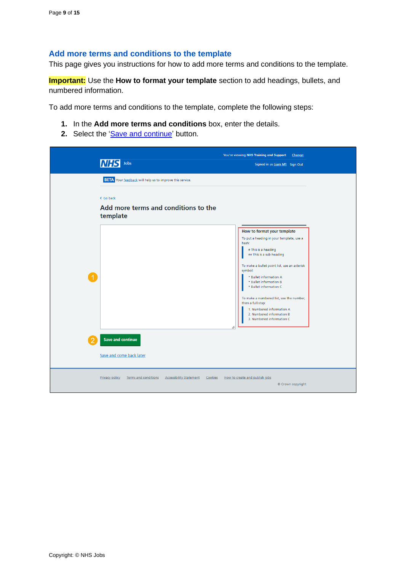#### <span id="page-8-0"></span>**Add more terms and conditions to the template**

This page gives you instructions for how to add more terms and conditions to the template.

**Important:** Use the **How to format your template** section to add headings, bullets, and numbered information.

To add more terms and conditions to the template, complete the following steps:

- **1.** In the **Add more terms and conditions** box, enter the details.
- 2. Select the ['Save and continue'](#page-9-0) button.

|                                                                                            | You're viewing NHS Training and Support<br>Change                                                    |
|--------------------------------------------------------------------------------------------|------------------------------------------------------------------------------------------------------|
| Jobs<br>INF                                                                                | Signed in as Liam M1 Sign Out                                                                        |
| <b>BETA</b> Your feedback will help us to improve this service.                            |                                                                                                      |
| < Go back                                                                                  |                                                                                                      |
| Add more terms and conditions to the<br>template                                           |                                                                                                      |
|                                                                                            | How to format your template                                                                          |
|                                                                                            | To put a heading in your template, use a<br>hash:<br># This is a heading<br>## This is a sub-heading |
|                                                                                            | To make a bullet point list, use an asterisk<br>symbol:                                              |
|                                                                                            | * Bullet information A<br>* Bullet information B<br>* Bullet information C                           |
|                                                                                            | To make a numbered list, use the number,                                                             |
|                                                                                            | then a full stop:<br>1. Numbered information A                                                       |
|                                                                                            | 2. Numbered information B<br>3. Numbered information C<br>h                                          |
| <b>Save and continue</b>                                                                   |                                                                                                      |
| Save and come back later                                                                   |                                                                                                      |
| <b>Privacy policy</b><br>Terms and conditions<br><b>Accessibility Statement</b><br>Cookies | How to create and publish jobs<br>© Crown copyright                                                  |
|                                                                                            |                                                                                                      |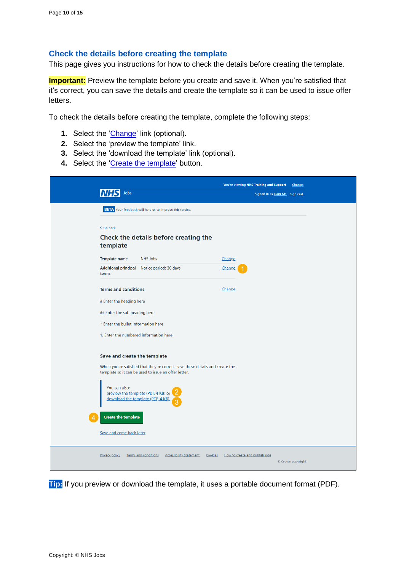#### <span id="page-9-0"></span>**Check the details before creating the template**

This page gives you instructions for how to check the details before creating the template.

**Important:** Preview the template before you create and save it. When you're satisfied that it's correct, you can save the details and create the template so it can be used to issue offer letters.

To check the details before creating the template, complete the following steps:

- **1.** Select the ['Change'](#page-4-0) link (optional).
- **2.** Select the 'preview the template' link.
- **3.** Select the 'download the template' link (optional).
- 4. Select the ['Create the template'](#page-10-0) button.

| Jobs                                                                                                                                                                                                                                                                                                                          | You're viewing NHS Training and Support<br>Change<br>Signed in as Liam M1 Sign Out |
|-------------------------------------------------------------------------------------------------------------------------------------------------------------------------------------------------------------------------------------------------------------------------------------------------------------------------------|------------------------------------------------------------------------------------|
| <b>BETA</b> Your feedback will help us to improve this service.                                                                                                                                                                                                                                                               |                                                                                    |
| < Go back<br>Check the details before creating the<br>template                                                                                                                                                                                                                                                                |                                                                                    |
| <b>Template name</b><br><b>NHS Jobs</b>                                                                                                                                                                                                                                                                                       | Change                                                                             |
| Additional principal Notice period: 30 days<br>terms                                                                                                                                                                                                                                                                          | Change                                                                             |
| <b>Terms and conditions</b>                                                                                                                                                                                                                                                                                                   | Change                                                                             |
| # Enter the heading here                                                                                                                                                                                                                                                                                                      |                                                                                    |
| ## Enter the sub-heading here                                                                                                                                                                                                                                                                                                 |                                                                                    |
| * Enter the bullet information here                                                                                                                                                                                                                                                                                           |                                                                                    |
| 1. Enter the numbered information here                                                                                                                                                                                                                                                                                        |                                                                                    |
| Save and create the template<br>When you're satisfied that they're correct, save these details and create the<br>template so it can be used to issue an offer letter.<br>You can also:<br>preview the template (PDF, 4 KB) or<br>download the template (PDF, 4 KB).<br><b>Create the template</b><br>Save and come back later |                                                                                    |
| <b>Accessibility Statement</b><br><b>Privacy policy</b><br>Terms and conditions<br>Cookies                                                                                                                                                                                                                                    | How to create and publish jobs<br>© Crown copyright                                |

**Tip:** If you preview or download the template, it uses a portable document format (PDF).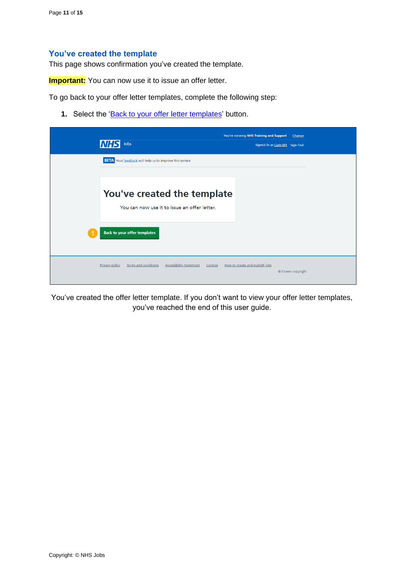#### <span id="page-10-0"></span>**You've created the template**

This page shows confirmation you've created the template.

**Important:** You can now use it to issue an offer letter.

To go back to your offer letter templates, complete the following step:

1. Select the ['Back to your offer letter](#page-11-0) templates' button.

| Jobs<br>INHS                                                                                      | You're viewing NHS Training and Support<br>Change<br>Signed in as Liam M1 Sign Out |  |
|---------------------------------------------------------------------------------------------------|------------------------------------------------------------------------------------|--|
| <b>BETA</b> Your feedback will help us to improve this service.                                   |                                                                                    |  |
| You've created the template<br>You can now use it to issue an offer letter.                       |                                                                                    |  |
| <b>Back to your offer templates</b>                                                               |                                                                                    |  |
| <b>Terms and conditions</b><br><b>Accessibility Statement</b><br><b>Privacy policy</b><br>Cookies | How to create and publish jobs<br>© Crown copyright                                |  |

You've created the offer letter template. If you don't want to view your offer letter templates, you've reached the end of this user guide.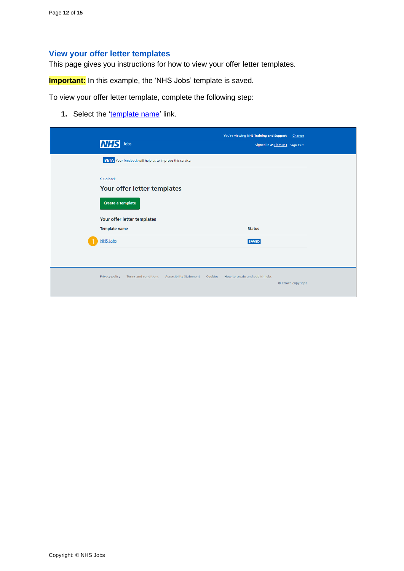## <span id="page-11-0"></span>**View your offer letter templates**

This page gives you instructions for how to view your offer letter templates.

**Important:** In this example, the 'NHS Jobs' template is saved.

To view your offer letter template, complete the following step:

**1.** Select the ['template name'](#page-12-0) link.

| <b>NHS</b><br>Jobs                                                                                                               | You're viewing NHS Training and Support<br>Change<br>Signed in as Liam M1 Sign Out |  |
|----------------------------------------------------------------------------------------------------------------------------------|------------------------------------------------------------------------------------|--|
| <b>BETA</b> Your feedback will help us to improve this service.<br>< Go back<br>Your offer letter templates<br>Create a template |                                                                                    |  |
| Your offer letter templates<br><b>Template name</b><br><b>NHS Jobs</b>                                                           | <b>Status</b><br><b>SAVED</b>                                                      |  |
| <b>Terms and conditions</b><br><b>Accessibility Statement</b><br><b>Privacy policy</b>                                           | Cookies<br>How to create and publish jobs<br>© Crown copyright                     |  |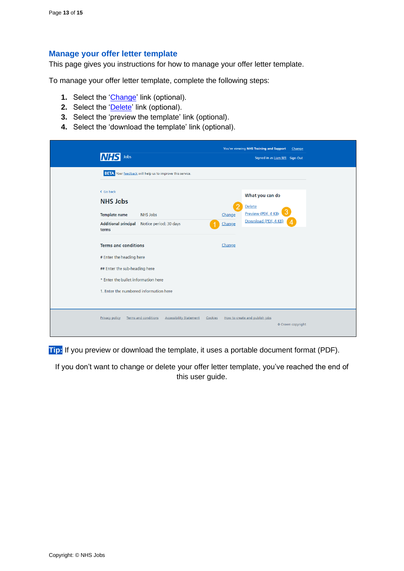#### <span id="page-12-0"></span>**Manage your offer letter template**

This page gives you instructions for how to manage your offer letter template.

To manage your offer letter template, complete the following steps:

- **1.** Select the ['Change'](#page-4-0) link (optional).
- **2.** Select the ['Delete'](#page-13-0) link (optional).
- **3.** Select the 'preview the template' link (optional).
- **4.** Select the 'download the template' link (optional).

| Jobs                                                                                                                                                                      | You're viewing NHS Training and Support<br>Change<br>Signed in as Liam M1 Sign Out                |
|---------------------------------------------------------------------------------------------------------------------------------------------------------------------------|---------------------------------------------------------------------------------------------------|
| <b>BETA</b> Your feedback will help us to improve this service.                                                                                                           |                                                                                                   |
| < Go back<br><b>NHS Jobs</b><br><b>Template name</b><br><b>NHS Jobs</b><br>Notice period: 30 days<br><b>Additional principal</b><br>terms                                 | What you can do<br>2<br>Delete<br>Preview (PDF, 4 KB)<br>Change<br>Download (PDF, 4 KB)<br>Change |
| <b>Terms and conditions</b><br># Enter the heading here<br>## Enter the sub-heading here<br>* Enter the bullet information here<br>1. Enter the numbered information here | Change                                                                                            |
| <b>Terms and conditions</b><br><b>Accessibility Statement</b><br><b>Privacy policy</b>                                                                                    | How to create and publish jobs<br>Cookies<br>© Crown copyright                                    |

**Tip:** If you preview or download the template, it uses a portable document format (PDF).

If you don't want to change or delete your offer letter template, you've reached the end of this user guide.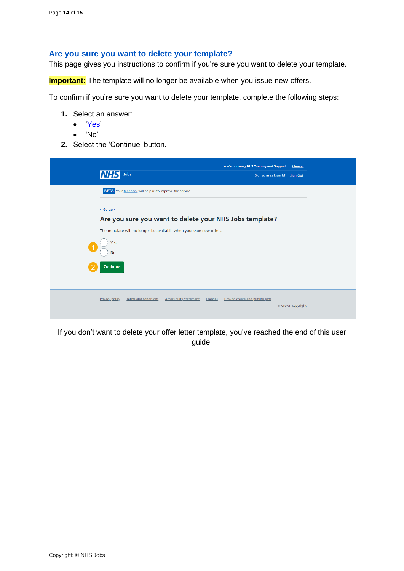#### <span id="page-13-0"></span>**Are you sure you want to delete your template?**

This page gives you instructions to confirm if you're sure you want to delete your template.

**Important:** The template will no longer be available when you issue new offers.

To confirm if you're sure you want to delete your template, complete the following steps:

- **1.** Select an answer:
	- ['Yes'](#page-14-0)
	- 'No'
- **2.** Select the 'Continue' button.

| Jobs<br>IM                                                                                        | You're viewing NHS Training and Support<br>Change<br>Signed in as Liam M1 Sign Out |  |  |  |
|---------------------------------------------------------------------------------------------------|------------------------------------------------------------------------------------|--|--|--|
| <b>BETA</b> Your feedback will help us to improve this service.                                   |                                                                                    |  |  |  |
| < Go back                                                                                         |                                                                                    |  |  |  |
| Are you sure you want to delete your NHS Jobs template?                                           |                                                                                    |  |  |  |
|                                                                                                   | The template will no longer be available when you issue new offers.                |  |  |  |
| Yes<br><b>No</b>                                                                                  |                                                                                    |  |  |  |
| <b>Continue</b>                                                                                   |                                                                                    |  |  |  |
| <b>Terms and conditions</b><br><b>Accessibility Statement</b><br><b>Privacy policy</b><br>Cookies | How to create and publish jobs<br>© Crown copyright                                |  |  |  |

If you don't want to delete your offer letter template, you've reached the end of this user guide.